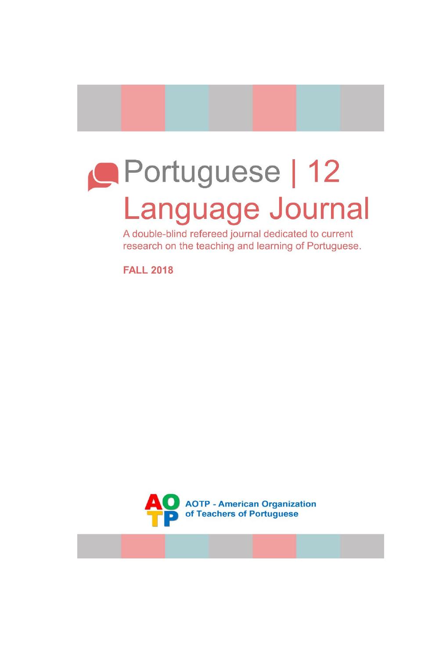# Portuguese | 12 Language Journal

A double-blind refereed journal dedicated to current research on the teaching and learning of Portuguese.

**FALL 2018** 

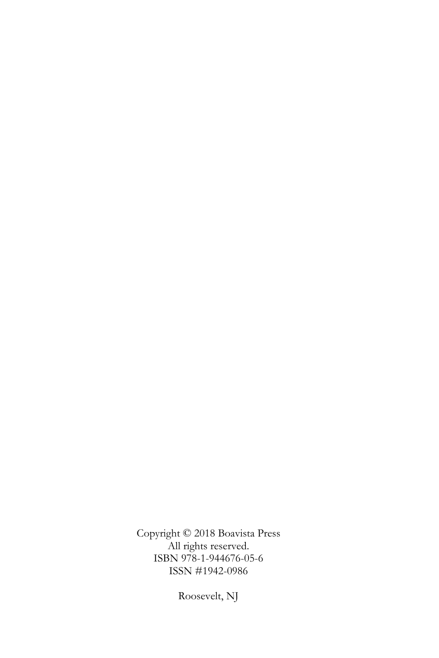Copyright © 2018 Boavista Press All rights reserved. ISBN 978-1-944676-05-6 ISSN #1942-0986

Roosevelt, NJ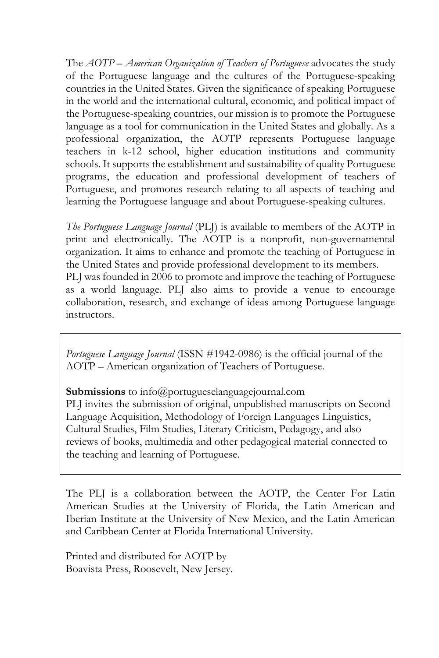The *AOTP – American Organization of Teachers of Portuguese* advocates the study of the Portuguese language and the cultures of the Portuguese-speaking countries in the United States. Given the significance of speaking Portuguese in the world and the international cultural, economic, and political impact of the Portuguese-speaking countries, our mission is to promote the Portuguese language as a tool for communication in the United States and globally. As a professional organization, the AOTP represents Portuguese language teachers in k-12 school, higher education institutions and community schools. It supports the establishment and sustainability of quality Portuguese programs, the education and professional development of teachers of Portuguese, and promotes research relating to all aspects of teaching and learning the Portuguese language and about Portuguese-speaking cultures.

*The Portuguese Language Journal* (PLJ) is available to members of the AOTP in print and electronically. The AOTP is a nonprofit, non-governamental organization. It aims to enhance and promote the teaching of Portuguese in the United States and provide professional development to its members. PLJ was founded in 2006 to promote and improve the teaching of Portuguese as a world language. PLJ also aims to provide a venue to encourage collaboration, research, and exchange of ideas among Portuguese language instructors.

*Portuguese Language Journal* (ISSN #1942-0986) is the official journal of the AOTP – American organization of Teachers of Portuguese.

**Submissions** to [info@portugueselanguagejournal.com](mailto:info@portugueselanguagejournal.com) PLJ invites the submission of original, unpublished manuscripts on Second Language Acquisition, Methodology of Foreign Languages Linguistics, Cultural Studies, Film Studies, Literary Criticism, Pedagogy, and also reviews of books, multimedia and other pedagogical material connected to the teaching and learning of Portuguese.

The PLJ is a collaboration between the AOTP, the Center For Latin American Studies at the University of Florida, the Latin American and Iberian Institute at the University of New Mexico, and the Latin American and Caribbean Center at Florida International University.

Printed and distributed for AOTP by Boavista Press, Roosevelt, New Jersey.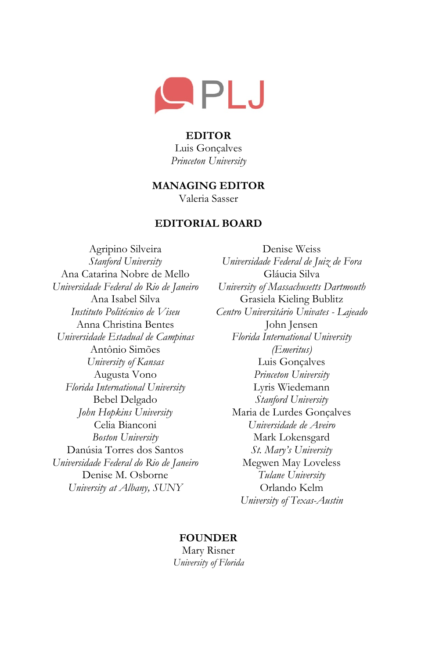

#### **EDITOR**

Luis Gonçalves *Princeton University*

## **MANAGING EDITOR**

Valeria Sasser

#### **EDITORIAL BOARD**

Agripino Silveira *Stanford University* Ana Catarina Nobre de Mello *Universidade Federal do Rio de Janeiro* Ana Isabel Silva *Instituto Politécnico de Viseu* Anna Christina Bentes *Universidade Estadual de Campinas* Antônio Simões *University of Kansas* Augusta Vono *Florida International University* Bebel Delgado *John Hopkins University* Celia Bianconi *Boston University* Danúsia Torres dos Santos *Universidade Federal do Rio de Janeiro* Denise M. Osborne *University at Albany, SUNY*

Denise Weiss *Universidade Federal de Juiz de Fora* Gláucia Silva *University of Massachusetts Dartmouth* Grasiela Kieling Bublitz *Centro Universitário Univates - Lajeado* John Jensen *Florida International University (Emeritus)* Luis Gonçalves *Princeton University* Lyris Wiedemann *Stanford University* Maria de Lurdes Gonçalves *Universidade de Aveiro* Mark Lokensgard *St. Mary's University* Megwen May Loveless *Tulane University* Orlando Kelm *University of Texas-Austin*

#### **FOUNDER**

Mary Risner *University of Florida*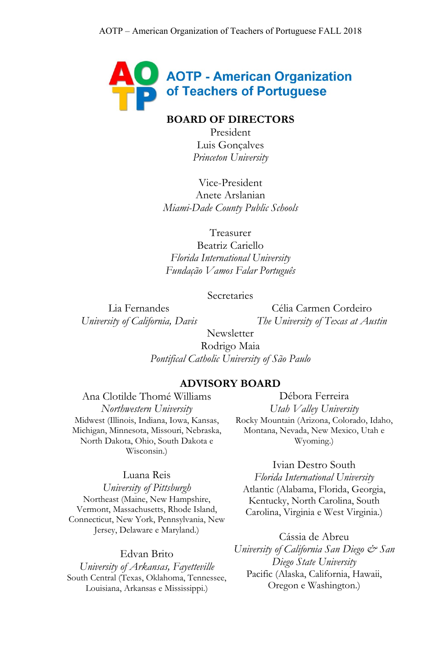

#### **BOARD OF DIRECTORS**

President Luis Gonçalves *Princeton University*

Vice-President Anete Arslanian *Miami-Dade County Public Schools*

Treasurer

Beatriz Cariello *Florida International University Fundação Vamos Falar Português*

**Secretaries** 

Lia Fernandes *University of California, Davis*

Célia Carmen Cordeiro *The University of Texas at Austin*

**Newsletter** 

Rodrigo Maia *Pontifical Catholic University of São Paulo*

## **ADVISORY BOARD**

Ana Clotilde Thomé Williams *Northwestern University* Midwest (Illinois, Indiana, Iowa, Kansas, Michigan, Minnesota, Missouri, Nebraska, North Dakota, Ohio, South Dakota e Wisconsin.)

#### Luana Reis

*University of Pittsburgh* Northeast (Maine, New Hampshire, Vermont, Massachusetts, Rhode Island, Connecticut, New York, Pennsylvania, New Jersey, Delaware e Maryland.)

#### Edvan Brito

*University of Arkansas, Fayetteville* South Central (Texas, Oklahoma, Tennessee, Louisiana, Arkansas e Mississippi.)

Débora Ferreira *Utah Valley University* Rocky Mountain (Arizona, Colorado, Idaho, Montana, Nevada, New Mexico, Utah e Wyoming.)

Ivian Destro South

*Florida International University* Atlantic (Alabama, Florida, Georgia, Kentucky, North Carolina, South Carolina, Virginia e West Virginia.)

Cássia de Abreu *University of California San Diego & San Diego State University* Pacific (Alaska, California, Hawaii, Oregon e Washington.)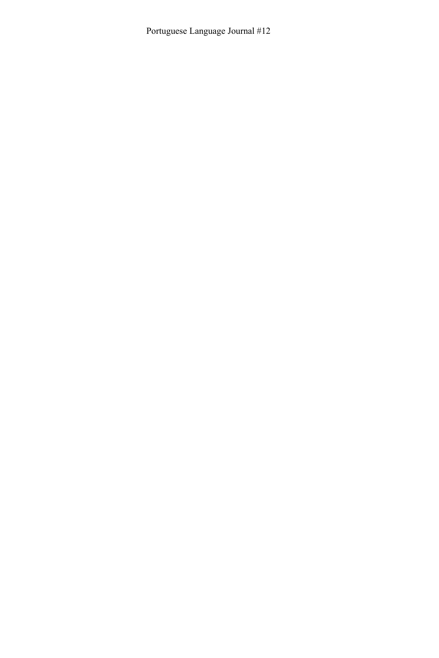Portuguese Language Journal #12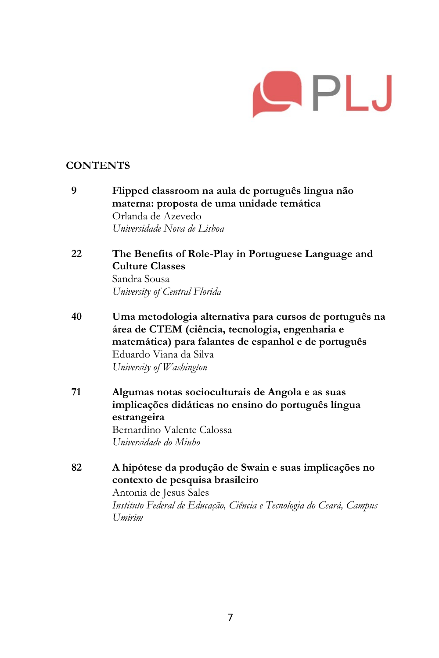

# **CONTENTS**

| 9  | Flipped classroom na aula de português língua não<br>materna: proposta de uma unidade temática<br>Orlanda de Azevedo<br>Universidade Nova de Lisboa                                                                      |
|----|--------------------------------------------------------------------------------------------------------------------------------------------------------------------------------------------------------------------------|
| 22 | The Benefits of Role-Play in Portuguese Language and<br><b>Culture Classes</b><br>Sandra Sousa<br>University of Central Florida                                                                                          |
| 40 | Uma metodologia alternativa para cursos de português na<br>área de CTEM (ciência, tecnologia, engenharia e<br>matemática) para falantes de espanhol e de português<br>Eduardo Viana da Silva<br>University of Washington |
| 71 | Algumas notas socioculturais de Angola e as suas<br>implicações didáticas no ensino do português língua<br>estrangeira<br>Bernardino Valente Calossa<br>Universidade do Minho                                            |
| 82 | A hipótese da produção de Swain e suas implicações no<br>contexto de pesquisa brasileiro<br>Antonia de Jesus Sales<br>Instituto Federal de Educação, Ciência e Tecnologia do Ceará, Campus<br><i>Umirim</i>              |